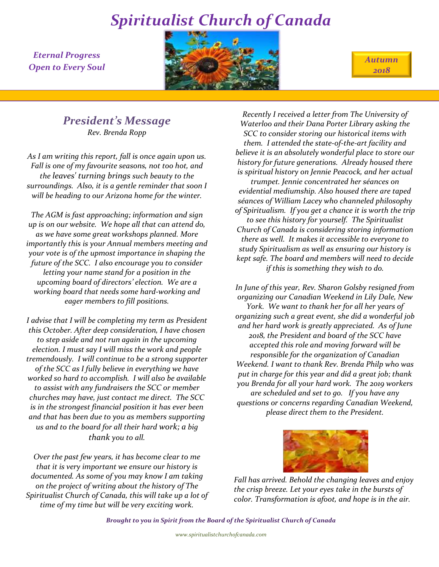*Eternal Progress Open to Every Soul*



*Autumn 2018*

## *President's Message*

*Rev. Brenda Ropp*

*As I am writing this report, fall is once again upon us. Fall is one of my favourite seasons, not too hot, and the leaves' turning brings such beauty to the surroundings. Also, it is a gentle reminder that soon I will be heading to our Arizona home for the winter.*

*The AGM is fast approaching; information and sign up is on our website. We hope all that can attend do, as we have some great workshops planned. More importantly this is your Annual members meeting and your vote is of the upmost importance in shaping the future of the SCC. I also encourage you to consider letting your name stand for a position in the upcoming board of directors' election. We are a working board that needs some hard-working and eager members to fill positions.*

*I advise that I will be completing my term as President this October. After deep consideration, I have chosen to step aside and not run again in the upcoming election. I must say I will miss the work and people tremendously. I will continue to be a strong supporter of the SCC as I fully believe in everything we have worked so hard to accomplish. I will also be available to assist with any fundraisers the SCC or member churches may have, just contact me direct. The SCC is in the strongest financial position it has ever been and that has been due to you as members supporting us and to the board for all their hard work; a big thank you to all.*

*Over the past few years, it has become clear to me that it is very important we ensure our history is documented. As some of you may know I am taking on the project of writing about the history of The Spiritualist Church of Canada, this will take up a lot of time of my time but will be very exciting work.*

*Recently I received a letter from The University of Waterloo and their Dana Porter Library asking the SCC to consider storing our historical items with them. I attended the state-of-the-art facility and believe it is an absolutely wonderful place to store our history for future generations. Already housed there is spiritual history on Jennie Peacock, and her actual trumpet. Jennie concentrated her séances on evidential mediumship. Also housed there are taped séances of William Lacey who channeled philosophy of Spiritualism. If you get a chance it is worth the trip to see this history for yourself. The Spiritualist Church of Canada is considering storing information there as well. It makes it accessible to everyone to study Spiritualism as well as ensuring our history is kept safe. The board and members will need to decide if this is something they wish to do.*

*In June of this year, Rev. Sharon Golsby resigned from organizing our Canadian Weekend in Lily Dale, New York. We want to thank her for all her years of organizing such a great event, she did a wonderful job and her hard work is greatly appreciated. As of June 2018, the President and board of the SCC have accepted this role and moving forward will be responsible for the organization of Canadian Weekend. I want to thank Rev. Brenda Philp who was put in charge for this year and did a great job; thank you Brenda for all your hard work. The 2019 workers are scheduled and set to go. If you have any questions or concerns regarding Canadian Weekend, please direct them to the President.*



*Fall has arrived. Behold the changing leaves and enjoy the crisp breeze. Let your eyes take in the bursts of color. Transformation is afoot, and hope is in the air.*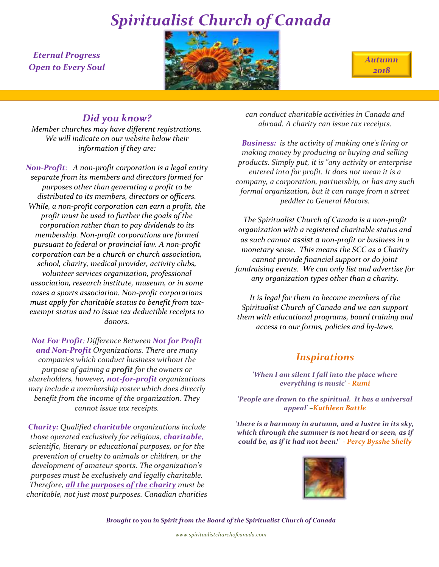*Eternal Progress Open to Every Soul*



*Autumn 2018*

## *Did you know?*

*Member churches may have different registrations. We will indicate on our website below their information if they are:*

*Non-Profit: A non-profit corporation is a legal entity separate from its members and directors formed for purposes other than generating a profit to be distributed to its members, directors or officers. While, a non-profit corporation can earn a profit, the profit must be used to further the goals of the corporation rather than to pay dividends to its membership. Non-profit corporations are formed pursuant to federal or provincial law. A non-profit corporation can be a church or church association, school, charity, medical provider, activity clubs, volunteer services organization, professional association, research institute, museum, or in some cases a sports association. Non-profit corporations must apply for charitable status to benefit from taxexempt status and to issue tax deductible receipts to donors.*

*Not For Profit: Difference Between Not for Profit and Non-Profit Organizations. There are many companies which conduct business without the purpose of gaining a profit for the owners or shareholders, however, not-for-profit organizations may include a membership roster which does directly benefit from the income of the organization. They cannot issue tax receipts.*

*Charity: Qualified charitable organizations include those operated exclusively for religious, charitable, scientific, literary or educational purposes, or for the prevention of cruelty to animals or children, or the development of amateur sports. The organization's purposes must be exclusively and legally charitable. Therefore, all the purposes of the charity must be charitable, not just most purposes. Canadian charities*  *can conduct charitable activities in Canada and abroad. A charity can issue tax receipts.*

*Business: is the activity of making one's living or making money by producing or buying and selling products. Simply put, it is "any activity or enterprise entered into for profit. It does not mean it is a company, a corporation, partnership, or has any such formal organization, but it can range from a street peddler to General Motors.*

*The Spiritualist Church of Canada is a non-profit organization with a registered charitable status and as such cannot assist a non-profit or business in a monetary sense. This means the SCC as a Charity cannot provide financial support or do joint fundraising events. We can only list and advertise for any organization types other than a charity.*

*It is legal for them to become members of the Spiritualist Church of Canada and we can support them with educational programs, board training and access to our forms, policies and by-laws.*

### *Inspirations*

*'When I am silent I fall into the place where everything is music' - Rumi*

*'People are drawn to the spiritual. It has a universal appeal' –Kathleen Battle*

*'there is a harmony in autumn, and a lustre in its sky, which through the summer is not heard or seen, as if could be, as if it had not been!' - Percy Bysshe Shelly* 

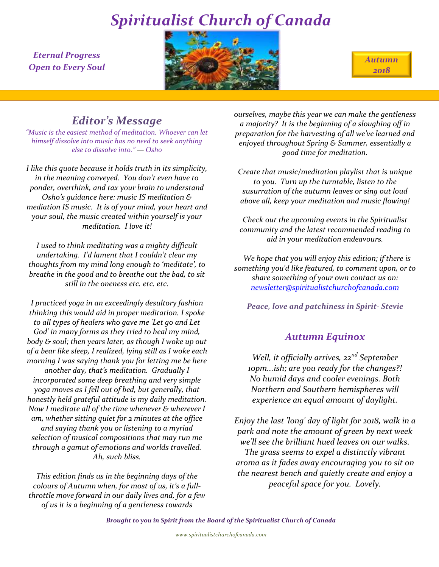*Eternal Progress Open to Every Soul*



*Autumn 2018*

## *Editor's Message*

*"Music is the easiest method of meditation. Whoever can let himself dissolve into music has no need to seek anything else to dissolve into." — Osho*

*I like this quote because it holds truth in its simplicity, in the meaning conveyed. You don't even have to ponder, overthink, and tax your brain to understand Osho's guidance here: music IS meditation & mediation IS music. It is of your mind, your heart and your soul, the music created within yourself is your meditation. I love it!*

*I used to think meditating was a mighty difficult undertaking. I'd lament that I couldn't clear my thoughts from my mind long enough to 'meditate', to breathe in the good and to breathe out the bad, to sit still in the oneness etc. etc. etc.*

*I practiced yoga in an exceedingly desultory fashion thinking this would aid in proper meditation. I spoke to all types of healers who gave me 'Let go and Let God' in many forms as they tried to heal my mind, body & soul; then years later, as though I woke up out of a bear like sleep, I realized, lying still as I woke each morning I was saying thank you for letting me be here another day, that's meditation. Gradually I incorporated some deep breathing and very simple yoga moves as I fell out of bed, but generally, that honestly held grateful attitude is my daily meditation. Now I meditate all of the time whenever & wherever I am, whether sitting quiet for 2 minutes at the office and saying thank you or listening to a myriad selection of musical compositions that may run me through a gamut of emotions and worlds travelled. Ah, such bliss.*

*This edition finds us in the beginning days of the colours of Autumn when, for most of us, it's a fullthrottle move forward in our daily lives and, for a few of us it is a beginning of a gentleness towards* 

*ourselves, maybe this year we can make the gentleness a majority? It is the beginning of a sloughing off in preparation for the harvesting of all we've learned and enjoyed throughout Spring & Summer, essentially a good time for meditation.*

*Create that music/meditation playlist that is unique to you. Turn up the turntable, listen to the susurration of the autumn leaves or sing out loud above all, keep your meditation and music flowing!*

*Check out the upcoming events in the Spiritualist community and the latest recommended reading to aid in your meditation endeavours.*

 *We hope that you will enjoy this edition; if there is something you'd like featured, to comment upon, or to share something of your own contact us on: [newsletter@spiritualistchurchofcanada.com](mailto:newsletter@spiritualistchurchofcanada.com)*

*Peace, love and patchiness in Spirit- Stevie*

## *Autumn Equinox*

*Well, it officially arrives, 22nd September 10pm...ish; are you ready for the changes?! No humid days and cooler evenings. Both Northern and Southern hemispheres will experience an equal amount of daylight.* 

*Enjoy the last 'long' day of light for 2018, walk in a park and note the amount of green by next week we'll see the brilliant hued leaves on our walks. The grass seems to expel a distinctly vibrant aroma as it fades away encouraging you to sit on the nearest bench and quietly create and enjoy a peaceful space for you. Lovely.*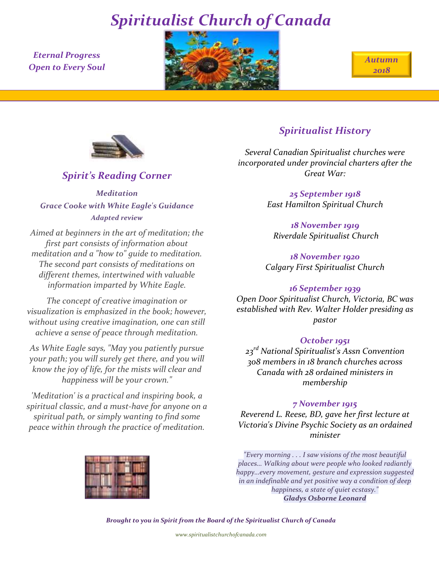*Eternal Progress Open to Every Soul*







*Spirit's Reading Corner*

*Meditation Grace Cooke with White Eagle's Guidance Adapted review*

*Aimed at beginners in the art of meditation; the first part consists of information about meditation and a "how to" guide to meditation. The second part consists of meditations on different themes, intertwined with valuable information imparted by White Eagle.*

*The concept of creative imagination or visualization is emphasized in the book; however, without using creative imagination, one can still achieve a sense of peace through meditation.* 

*As White Eagle says, "May you patiently pursue your path; you will surely get there, and you will know the joy of life, for the mists will clear and happiness will be your crown."*

*'Meditation' is a practical and inspiring book, a spiritual classic, and a must-have for anyone on a spiritual path, or simply wanting to find some peace within through the practice of meditation.*



## *Spiritualist History*

*Several Canadian Spiritualist churches were incorporated under provincial charters after the Great War:*

> *25 September 1918 East Hamilton Spiritual Church*

*18 November 1919 Riverdale Spiritualist Church*

*18 November 1920 Calgary First Spiritualist Church* 

### *16 September 1939*

*Open Door Spiritualist Church, Victoria, BC was established with Rev. Walter Holder presiding as pastor*

### *October 1951*

*23rd National Spiritualist's Assn Convention 308 members in 18 branch churches across Canada with 28 ordained ministers in membership*

#### *7 November 1915*

*Reverend L. Reese, BD, gave her first lecture at Victoria's Divine Psychic Society as an ordained minister* 

*"Every morning . . . I saw visions of the most beautiful places… Walking about were people who looked radiantly happy…every movement, gesture and expression suggested in an indefinable and yet positive way a condition of deep happiness, a state of quiet ecstasy." Gladys Osborne Leonard*